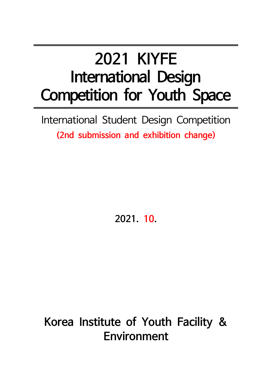# **2021 KIYFE International Design Competition for Youth Space**

International Student Design Competition **(2nd submission and exhibition change)**

**2021. 10.**

## **Korea Institute of Youth Facility & Environment**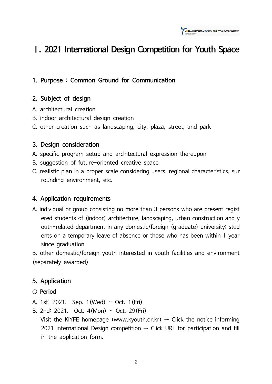

### **Ⅰ. 2021 International Design Competition for Youth Space**

#### **1. Purpose : Common Ground for Communication**

#### **2. Subject of design**

- A. architectural creation
- B. indoor architectural design creation
- C. other creation such as landscaping, city, plaza, street, and park

#### **3. Design consideration**

- A. specific program setup and architectural expression thereupon
- B. suggestion of future-oriented creative space
- C. realistic plan in a proper scale considering users, regional characteristics, sur rounding environment, etc.

#### **4. Application requirements**

A. individual or group consisting no more than 3 persons who are present regist ered students of (indoor) architecture, landscaping, urban construction and y outh-related department in any domestic/foreign (graduate) university; stud ents on a temporary leave of absence or those who has been within 1 year since graduation

B. other domestic/foreign youth interested in youth facilities and environment (separately awarded)

#### **5. Application**

- **○ Period**
- A. 1st: 2021. Sep. 1(Wed)  $\sim$  Oct. 1(Fri)
- B. 2nd: 2021. Oct. 4(Mon) ~ Oct. 29(Fri)
	- Visit the KIYFE homepage (www.kyouth.or.kr)  $\rightarrow$  Click the notice informing 2021 International Design competition  $\rightarrow$  Click URL for participation and fill in the application form.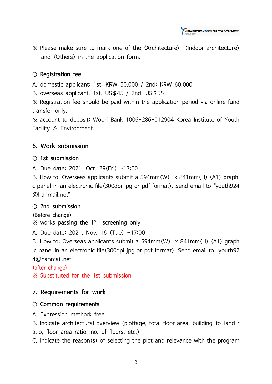KOREA INSTITUTE of YOUTH FACILITY & ENVIRONMENT

※ Please make sure to mark one of the <Architecture> <Indoor architecture> and <Others> in the application form.

#### **○ Registration fee**

A. domestic applicant: 1st: KRW 50,000 / 2nd: KRW 60,000

B. overseas applicant: 1st: US\$45 / 2nd: US\$55

※ Registration fee should be paid within the application period via online fund transfer only.

※ account to deposit: Woori Bank 1006-286-012904 Korea Institute of Youth Facility & Environment

#### **6. Work submission**

#### **○ 1st submission**

A. Due date: 2021. Oct. 29(Fri) ~17:00

B. How to: Overseas applicants submit a 594mm(W) x 841mm(H) (A1) graphi c panel in an electronic file(300dpi jpg or pdf format). Send email to "youth924 @hanmail.net"

#### **○ 2nd submission**

(Before change)

 $\%$  works passing the 1<sup>st</sup> screening only

A. Due date: 2021. Nov. 16 (Tue) ~17:00

B. How to: Overseas applicants submit a 594mm(W) x 841mm(H) (A1) graph ic panel in an electronic file(300dpi jpg or pdf format). Send email to "youth92 4@hanmail.net"

#### (after change)

※ Substituted for the 1st submission

#### **7. Requirements for work**

#### **○ Common requirements**

A. Expression method: free

B. Indicate architectural overview (plottage, total floor area, building-to-land r atio, floor area ratio, no. of floors, etc.)

C. Indicate the reason(s) of selecting the plot and relevance with the program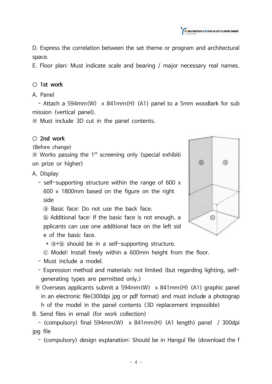KOREA INSTITUTE of YOUTH FACILITY & ENVIRONMENT

D. Express the correlation between the set theme or program and architectural space.

E. Floor plan: Must indicate scale and bearing / major necessary real names.

#### **○ 1st work**

#### A. Panel

- Attach a 594mm(W) x 841mm(H) (A1) panel to a 5mm woodlark for sub mission (vertical panel).

※ Must include 3D cut in the panel contents.

#### **○ 2nd work**

(Before change)

 $\%$  Works passing the 1<sup>st</sup> screening only (special exhibiti on prize or higher)

#### A. Display

- self-supporting structure within the range of 600 x 600 x 1800mm based on the figure on the right side
	- ⓐ Basic face: Do not use the back face.

ⓑ Additional face: If the basic face is not enough, a pplicants can use one additional face on the left sid e of the basic face.

- \* ⓐ+ⓑ should be in a self-supporting structure.
- ⓒ Model: Install freely within a 600mm height from the floor.
- Must include a model.
- Expression method and materials: not limited (but regarding lighting, selfgenerating types are permitted only.)
- ※ Overseas applicants submit a 594mm(W) x 841mm(H) (A1) graphic panel in an electronic file(300dpi jpg or pdf format) and must include a photograp h of the model in the panel contents (3D replacement impossible)
- B. Send files in email (for work collection)

- (compulsory) final 594mm(W) x 841mm(H) (A1 length) panel / 300dpi jpg file

- (compulsory) design explanation: Should be in Hangul file (download the f

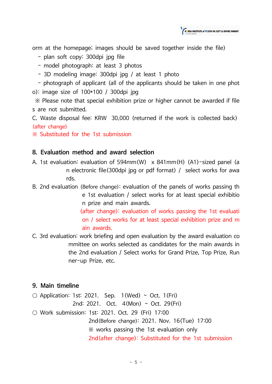

orm at the homepage; images should be saved together inside the file)

- plan soft copy: 300dpi jpg file
- model photograph: at least 3 photos
- 3D modeling image: 300dpi jpg / at least 1 photo

- photograph of applicant (all of the applicants should be taken in one phot o): image size of 100\*100 / 300dpi jpg

※ Please note that special exhibition prize or higher cannot be awarded if file s are not submitted.

C. Waste disposal fee: KRW 30,000 (returned if the work is collected back) (after change)

※ Substituted for the 1st submission

#### **8. Evaluation method and award selection**

- A. 1st evaluation: evaluation of 594mm(W) x 841mm(H) (A1)-sized panel (a n electronic file(300dpi jpg or pdf format) / select works for awa rds.
- B. 2nd evaluation (Before change): evaluation of the panels of works passing th e 1st evaluation / select works for at least special exhibitio n prize and main awards.

(after change): evaluation of works passing the 1st evaluati on / select works for at least special exhibition prize and m ain awards.

C. 3rd evaluation: work briefing and open evaluation by the award evaluation co mmittee on works selected as candidates for the main awards in the 2nd evaluation / Select works for Grand Prize, Top Prize, Run ner-up Prize, etc.

#### **9. Main timeline**

 $\circ$  Application: 1st: 2021. Sep. 1(Wed) ~ Oct. 1(Fri) 2nd: 2021. Oct. 4(Mon) ~ Oct. 29(Fri) ○ Work submission: 1st: 2021. Oct. 29 (Fri) 17:00

2nd(Before change): 2021. Nov. 16(Tue) 17:00 ※ works passing the 1st evaluation only 2nd(after change): Substituted for the 1st submission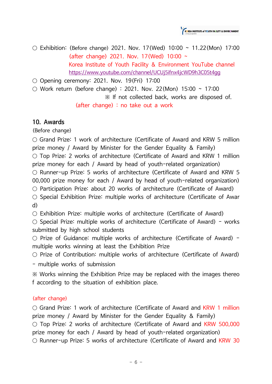

○ Exhibition: (Before change) 2021. Nov. 17(Wed) 10:00  $\sim$  11.22(Mon) 17:00 (after change) 2021. Nov. 17(Wed) 10:00 ~ Korea Institute of Youth Facility & Environment YouTube channel https://www.youtube.com/channel/UCUj5ifnx4jcWD9h3C05t4gg

 $\circ$  Opening ceremony: 2021. Nov. 19(Fri) 17:00

 $\circ$  Work return (before change) : 2021. Nov. 22(Mon) 15:00 ~ 17:00

※ If not collected back, works are disposed of.

(after change) : no take out a work

#### **10. Awards**

(Before change)

○ Grand Prize: 1 work of architecture (Certificate of Award and KRW 5 million prize money / Award by Minister for the Gender Equality & Family)

○ Top Prize: 2 works of architecture (Certificate of Award and KRW 1 million prize money for each / Award by head of youth-related organization)

○ Runner-up Prize: 5 works of architecture (Certificate of Award and KRW 5 00,000 prize money for each / Award by head of youth-related organization)

○ Participation Prize: about 20 works of architecture (Certificate of Award)

○ Special Exhibition Prize: multiple works of architecture (Certificate of Awar d)

 $\circ$  Exhibition Prize: multiple works of architecture (Certificate of Award)

 $\circ$  Special Prize: multiple works of architecture (Certificate of Award) - works submitted by high school students

 $\circ$  Prize of Guidance: multiple works of architecture (Certificate of Award) multiple works winning at least the Exhibition Prize

○ Prize of Contribution: multiple works of architecture (Certificate of Award)

- multiple works of submission

※ Works winning the Exhibition Prize may be replaced with the images thereo f according to the situation of exhibition place.

#### (after change)

○ Grand Prize: 1 work of architecture (Certificate of Award and KRW 1 million prize money / Award by Minister for the Gender Equality & Family) ○ Top Prize: 2 works of architecture (Certificate of Award and KRW 500,000 prize money for each / Award by head of youth-related organization) ○ Runner-up Prize: 5 works of architecture (Certificate of Award and KRW 30